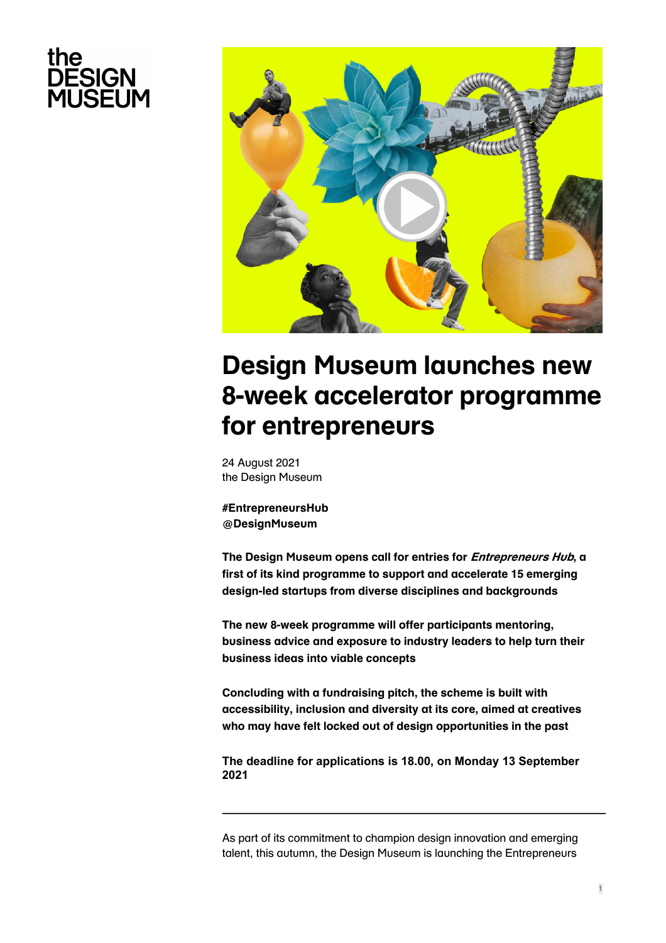# the **DESIGN<br>MUSEUM**



# **[Design Museum launches new](https://designmuseum.org/the-design-museum-campus/entrepreneurs-hub)  8-week accelerator programme for entrepreneurs**

24 August 2021 the Design Museum

**#EntrepreneursHub @DesignMuseum**

**The Design Museum opens call for entries for Entrepreneurs Hub, a first of its kind programme to support and accelerate 15 emerging design-led startups from diverse disciplines and backgrounds**

**The new 8-week programme will offer participants mentoring, business advice and exposure to industry leaders to help turn their business ideas into viable concepts** 

**Concluding with a fundraising pitch, the scheme is built with accessibility, inclusion and diversity at its core, aimed at creatives who may have felt locked out of design opportunities in the past**

**The deadline for applications is 18.00, on Monday 13 September 2021**

As part of its commitment to champion design innovation and emerging talent, this autumn, the Design Museum is launching the Entrepreneurs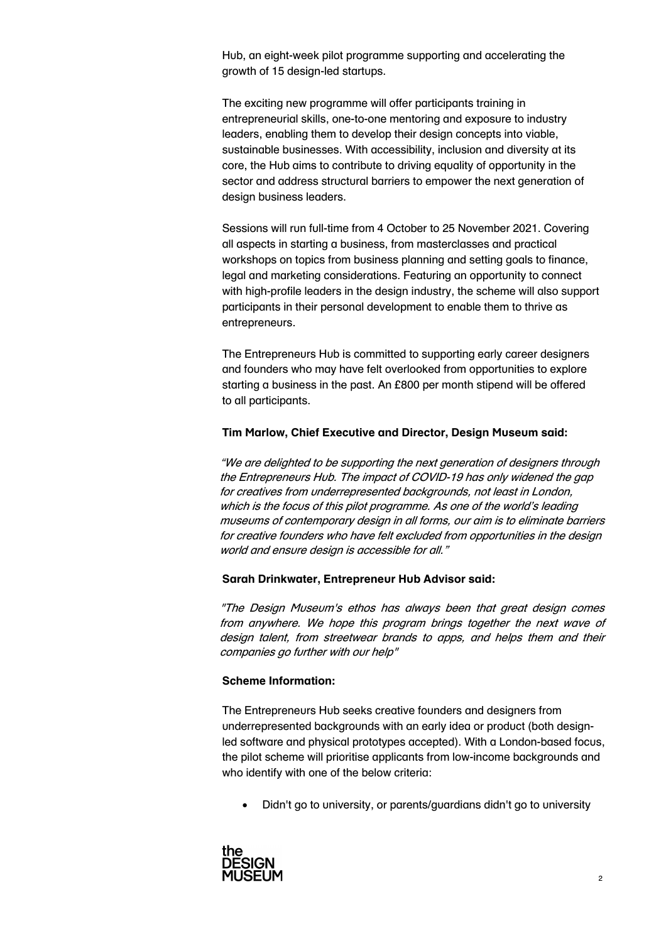Hub, an eight-week pilot programme supporting and accelerating the growth of 15 design-led startups.

The exciting new programme will offer participants training in entrepreneurial skills, one-to-one mentoring and exposure to industry leaders, enabling them to develop their design concepts into viable, sustainable businesses. With accessibility, inclusion and diversity at its core, the Hub aims to contribute to driving equality of opportunity in the sector and address structural barriers to empower the next generation of design business leaders.

Sessions will run full-time from 4 October to 25 November 2021. Covering all aspects in starting a business, from masterclasses and practical workshops on topics from business planning and setting goals to finance, legal and marketing considerations. Featuring an opportunity to connect with high-profile leaders in the design industry, the scheme will also support participants in their personal development to enable them to thrive as entrepreneurs.

The Entrepreneurs Hub is committed to supporting early career designers and founders who may have felt overlooked from opportunities to explore starting a business in the past. An £800 per month stipend will be offered to all participants.

#### **Tim Marlow, Chief Executive and Director, Design Museum said:**

"We are delighted to be supporting the next generation of designers through the Entrepreneurs Hub. The impact of COVID-19 has only widened the gap for creatives from underrepresented backgrounds, not least in London, which is the focus of this pilot programme. As one of the world's leading museums of contemporary design in all forms, our aim is to eliminate barriers for creative founders who have felt excluded from opportunities in the design world and ensure design is accessible for all."

#### **Sarah Drinkwater, Entrepreneur Hub Advisor said:**

"The Design Museum's ethos has always been that great design comes from anywhere. We hope this program brings together the next wave of design talent, from streetwear brands to apps, and helps them and their companies go further with our help"

#### **Scheme Information:**

The Entrepreneurs Hub seeks creative founders and designers from underrepresented backgrounds with an early idea or product (both designled software and physical prototypes accepted). With a London-based focus, the pilot scheme will prioritise applicants from low-income backgrounds and who identify with one of the below criteria:

• Didn't go to university, or parents/guardians didn't go to university

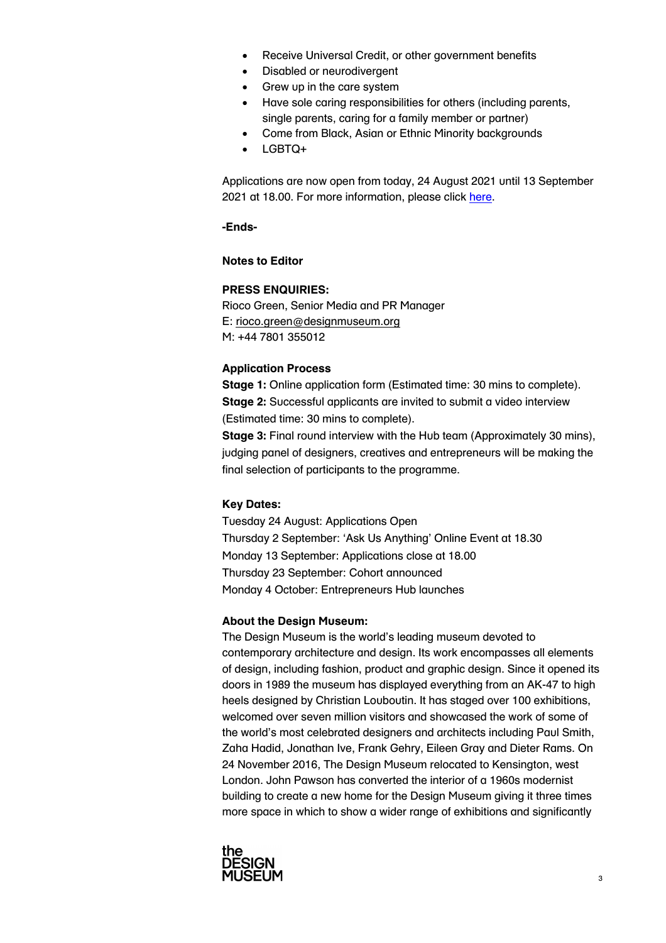- Receive Universal Credit, or other government benefits
- Disabled or neurodivergent
- Grew up in the care system
- Have sole caring responsibilities for others (including parents, single parents, caring for a family member or partner)
- Come from Black, Asian or Ethnic Minority backgrounds
- LGBTQ+

Applications are now open from today, 24 August [2021 until](https://designmuseum.org/the-design-museum-campus/entrepreneurs-hub) 13 September 2021 at 18.00. For more information, please click here.

#### **-Ends-**

#### **Notes to Editor**

## **PRESS ENQUIRIES:**

Rioco Green, Senior Media and PR Manager E: rioco.green@designmuseum.org M: +44 7801 355012

## **Application Process**

**Stage 1:** Online application form (Estimated time: 30 mins to complete). **Stage 2:** Successful applicants are invited to submit a video interview (Estimated time: 30 mins to complete).

**Stage 3:** Final round interview with the Hub team (Approximately 30 mins), judging panel of designers, creatives and entrepreneurs will be making the final selection of participants to the programme.

# **Key Dates:**

Tuesday 24 August: Applications Open Thursday 2 September: 'Ask Us Anything' Online Event at 18.30 Monday 13 September: Applications close at 18.00 Thursday 23 September: Cohort announced Monday 4 October: Entrepreneurs Hub launches

#### **About the Design Museum:**

The Design Museum is the world's leading museum devoted to contemporary architecture and design. Its work encompasses all elements of design, including fashion, product and graphic design. Since it opened its doors in 1989 the museum has displayed everything from an AK-47 to high heels designed by Christian Louboutin. It has staged over 100 exhibitions, welcomed over seven million visitors and showcased the work of some of the world's most celebrated designers and architects including Paul Smith, Zaha Hadid, Jonathan Ive, Frank Gehry, Eileen Gray and Dieter Rams. On 24 November 2016, The Design Museum relocated to Kensington, west London. John Pawson has converted the interior of a 1960s modernist building to create a new home for the Design Museum giving it three times more space in which to show a wider range of exhibitions and significantly